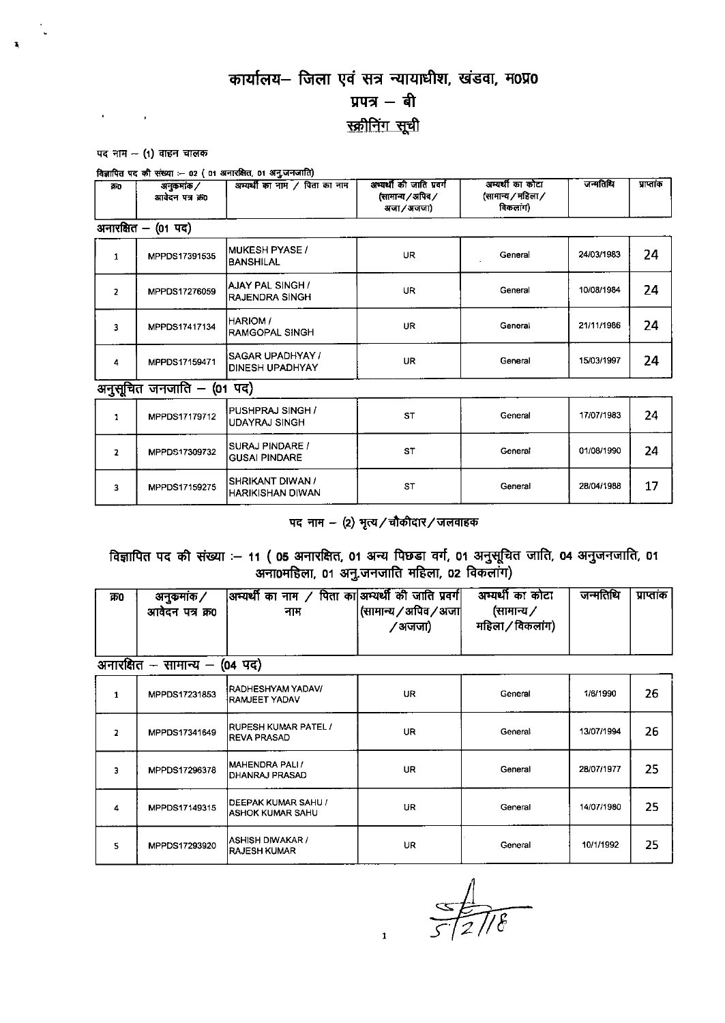## कार्यालय- जिला एवं सत्र न्यायाधीश, खंडवा, म0प्र0 प्रपत्र $-$ बी स्क्रीनिंग सूची

#### पद नाम  $-$  (1) वाहन चालक

 $\mathbf{v} = (v_1, v_2, \ldots, v_n)$ 

|  |  |  |  | विज्ञापित पद की संख्या :— 02 ( 01 अनारक्षित, 01 अनु जनजाति) |
|--|--|--|--|-------------------------------------------------------------|
|--|--|--|--|-------------------------------------------------------------|

| 350                     | <b>अनुकमांक/</b><br>आवेदन पत्र क्र0 | अम्पर्थी का नाम / पिता का नाम                | अभ्यर्थी की जाति प्रवर्ग<br>(सामान्य / अपिव /<br>अजा / अजजा) | अन्यर्थी का कोटा<br>(सामान्य / महिला /<br>विकलांग) | जन्मतिथि   | प्राप्तांक |  |  |  |
|-------------------------|-------------------------------------|----------------------------------------------|--------------------------------------------------------------|----------------------------------------------------|------------|------------|--|--|--|
| अनारक्षित - (01 पद)     |                                     |                                              |                                                              |                                                    |            |            |  |  |  |
| $\mathbf{1}$            | MPPDS17391535                       | MUKESH PYASE /<br><b>BANSHILAL</b>           | <b>UR</b>                                                    | General                                            | 24/03/1983 | 24         |  |  |  |
| $\overline{\mathbf{z}}$ | MPPDS17276059                       | AJAY PAL SINGH /<br><b>RAJENDRA SINGH</b>    | <b>UR</b>                                                    | General                                            | 10/08/1984 | 24         |  |  |  |
| 3                       | MPPDS17417134                       | <b>HARIOM</b> /<br><b>RAMGOPAL SINGH</b>     | UR                                                           | General                                            | 21/11/1986 | 24         |  |  |  |
| 4                       | MPPDS17159471                       | <b>ISAGAR UPADHYAY /</b><br>IDINESH UPADHYAY | <b>UR</b>                                                    | General                                            | 15/03/1997 | 24         |  |  |  |
|                         | अनुसूचित जनजाति –<br>(01            | पद)                                          |                                                              |                                                    |            |            |  |  |  |

| MPPDS17179712 | <b>IPUSHPRAJ SINGH /</b><br>UDAYRAJ SINGH | <b>ST</b> | General | 17/07/1983 | 24 |
|---------------|-------------------------------------------|-----------|---------|------------|----|
| MPPDS17309732 | ISURAJ PINDARE /<br>IGUSAI PINDARE        | S٦        | General | 01/08/1990 | 24 |
| MPPDS17159275 | ISHRIKANT DIWAN /<br>İHARIKISHAN DIWAN    | ST        | General | 28/04/1988 | 17 |

#### पद नाम – (2) भृत्य/चौकीदार/जलवाहक

# विज्ञापित पद की संख्या :— 11 ( 05 अनारक्षित, 01 अन्य पिछडा वर्ग, 01 अनुसूचित जाति, 04 अनुजनजाति, 01<br>अना0महिला, 01 अनुजनजाति महिला, 02 विकलांग)

| क0 | अनकमांक ⁄<br>आवेदन पत्र क्र0 | अभ्यर्थी का नाम / पिता का अभ्यर्थी की जाति प्रवर्ग <br>नाम | (सामान्य / अपिव / अजा <br>′अजजा) | अम्यर्थी का कोटा<br>(सामान्य ∕<br>महिला / विकलांग) | जन्मतिथि | प्राप्ताक |
|----|------------------------------|------------------------------------------------------------|----------------------------------|----------------------------------------------------|----------|-----------|
|    |                              |                                                            |                                  |                                                    |          |           |

#### अनारसित – सामान्य – (04 पद)

| 31.131 | . <del>. .</del> | , דעו                                                 |           |         |            |    |
|--------|------------------|-------------------------------------------------------|-----------|---------|------------|----|
| 1.     | MPPDS17231853    | <b>IRADHESHYAM YADAV/</b><br>RAMJEET YADAV            | <b>UR</b> | General | 1/6/1990   | 26 |
|        | MPPDS17341649    | <b>IRUPESH KUMAR PATEL /</b><br><b>REVA PRASAD</b>    | <b>UR</b> | General | 13/07/1994 | 26 |
|        | MPPDS17296378    | <b>IMAHENDRA PALI/</b><br>IDHANRAJ PRASAD             | <b>UR</b> | General | 28/07/1977 | 25 |
| 4      | MPPDS17149315    | <b>DEEPAK KUMAR SAHU /</b><br><b>ASHOK KUMAR SAHU</b> | UR        | General | 14/07/1980 | 25 |
| 5.     | MPPDS17293920    | <b>ASHISH DIWAKAR /</b><br><b>RAJESH KUMAR</b>        | UR.       | General | 10/1/1992  | 25 |

 $\infty$  $\widetilde{78}$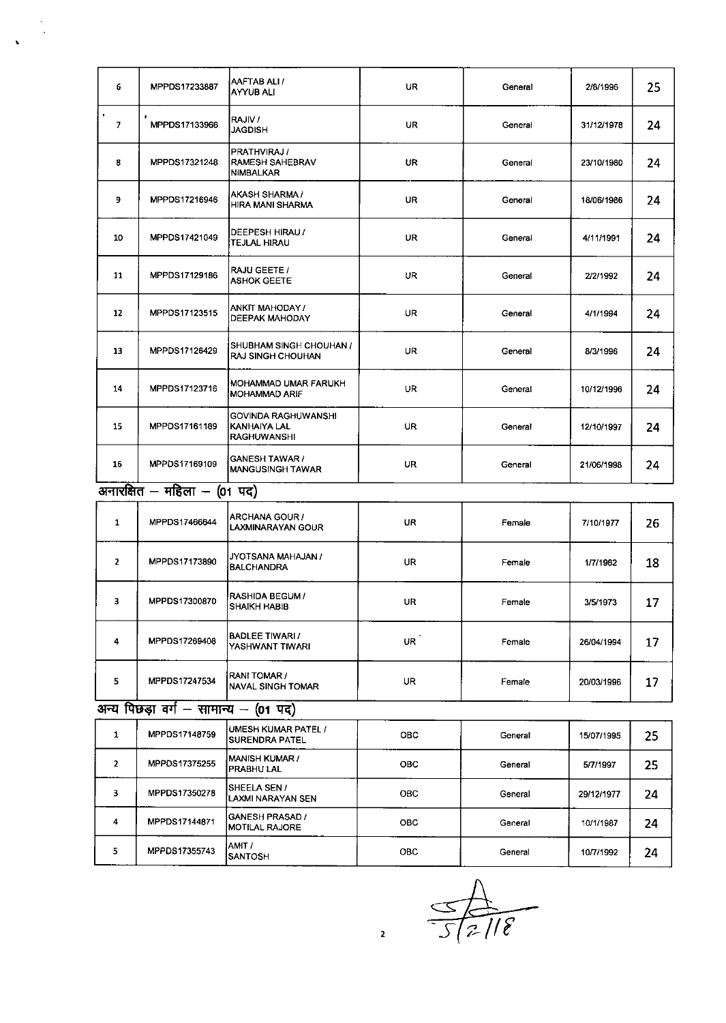| 6                           | MPPDS17233887 | AAFTAB ALI /<br>AYYUB ALI                                   | <b>UR</b> | General | 2/8/1996   | 25 |
|-----------------------------|---------------|-------------------------------------------------------------|-----------|---------|------------|----|
| $\bullet$<br>$\overline{7}$ | MPPDS17133966 | RAJIV /<br><b>JAGDISH</b>                                   | <b>UR</b> | General | 31/12/1978 | 24 |
| 8                           | MPPDS17321248 | <b>PRATHVIRAJ/</b><br><b>RAMESH SAHEBRAV</b><br>NIMBALKAR   | UR.       | General | 23/10/1980 | 24 |
| 9                           | MPPDS17216946 | AKASH SHARMA /<br>HIRA MANI SHARMA                          | UR.       | General | 18/06/1986 | 24 |
| 10                          | MPPDS17421049 | DEEPESH HIRAU /<br><b>TEJLAL HIRAU</b>                      | <b>UR</b> | General | 4/11/1991  | 24 |
| 11                          | MPPDS17129186 | <b>RAJU GEETE /</b><br><b>ASHOK GEETE</b>                   | UR.       | General | 2/2/1992   | 24 |
| 12                          | MPPDS17123515 | ANKIT MAHODAY /<br><b>DEEPAK MAHODAY</b>                    | <b>UR</b> | General | 4/1/1994   | 24 |
| 13                          | MPPDS17126429 | <b>ISHUBHAM SINGH CHOUHAN /</b><br><b>RAJ SINGH CHOUHAN</b> | UR.       | General | 8/3/1996   | 24 |
| 14                          | MPPDS17123716 | MOHAMMAD UMAR FARUKH<br>IMOHAMMAD ARIF                      | UR.       | General | 10/12/1996 | 24 |
| 15                          | MPPDS17161189 | GOVINDA RAGHUWANSHI<br>KANHAIYA LAL<br><b>RAGHUWANSHI</b>   | UR.       | General | 12/10/1997 | 24 |
| 16                          | MPPDS17169109 | GANESH TAWAR /<br><b>MANGUSINGH TAWAR</b>                   | <b>UR</b> | General | 21/06/1998 | 24 |

### $\frac{1}{100}$ अनारक्षित – महिला – (01 पद)

| 1              | MPPDS17466644 | <b>ARCHANA GOUR /</b><br>ILAXMINARAYAN GOUR    | <b>UR</b> | Female | 7/10/1977  | 26 |
|----------------|---------------|------------------------------------------------|-----------|--------|------------|----|
| $\overline{2}$ | MPPDS17173890 | IJYOTSANA MAHAJAN /<br>BALCHANDRA              | <b>UR</b> | Female | 1/7/1982   | 18 |
| 3              | MPPDS17300870 | <b>IRASHIDA BEGUM /</b><br><b>SHAIKH HABIB</b> | UR.       | Female | 3/5/1973   | 17 |
| 4              | MPPDS17269408 | BADLEE TIWARI /<br>IYASHWANT TIWARI            | UR.       | Female | 26/04/1994 | 17 |
| 5.             | MPPDS17247534 | <b> RANI TOMAR /</b><br>INAVAL SINGH TOMAR     | <b>UR</b> | Female | 20/03/1996 | 17 |

## $\frac{1}{\sqrt{3}}$ अन्य पिछड़ा वर्ग – सामान्य – (01 पद)

|   | MPPDS17148759 | UMESH KUMAR PATEL /<br><b>ISURENDRA PATEL</b>     | <b>OBC</b> | General | 15/07/1995 | 25 |
|---|---------------|---------------------------------------------------|------------|---------|------------|----|
| 2 | MPPDS17375255 | IMANISH KUMAR /<br><b>PRABHU LAL</b>              | <b>OBC</b> | General | 5/7/1997   | 25 |
| 3 | MPPDS17350278 | ISHEELA SEN /<br>İLAXMI NARAYAN SEN               | <b>OBC</b> | General | 29/12/1977 | 24 |
| 4 | MPPDS17144871 | <b>IGANESH PRASAD /</b><br><b>IMOTILAL RAJORE</b> | <b>OBC</b> | General | 10/1/1987  | 24 |
| 5 | MPPDS17355743 | IAMIT /<br><b>ISANTOSH</b>                        | <b>OBC</b> | General | 10/7/1992  | 24 |

 $\frac{1}{\sqrt{5}}\frac{1}{2\pi}\frac{1}{8}$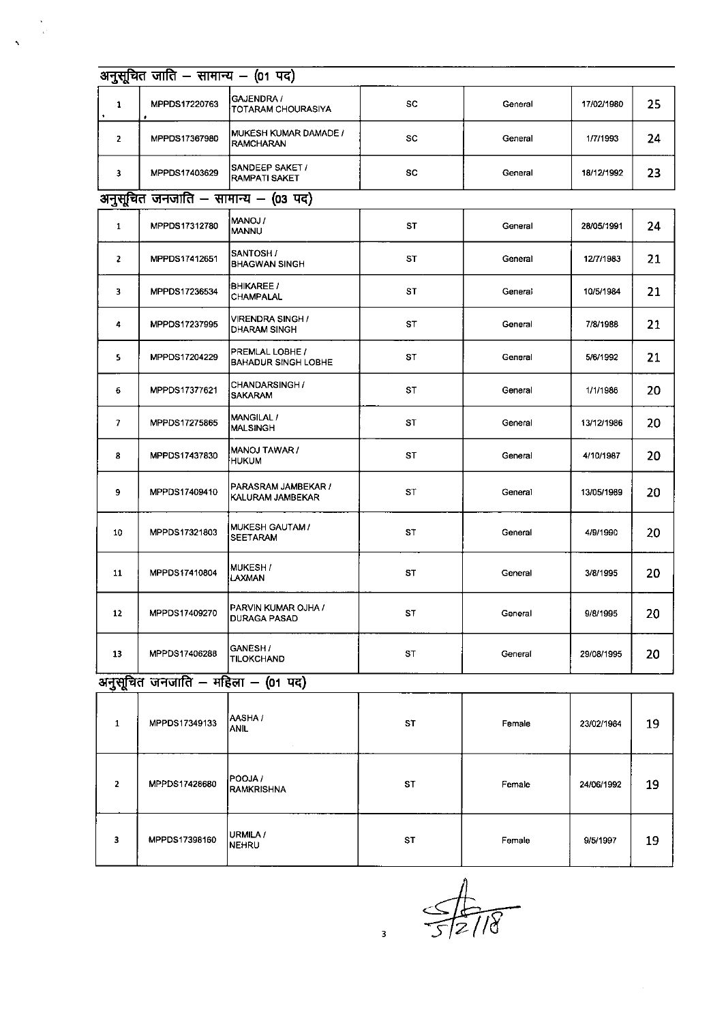|                | अनुसूचित जाति - सामान्य - (01 पद)   |                                               |           |         |            |    |  |  |  |
|----------------|-------------------------------------|-----------------------------------------------|-----------|---------|------------|----|--|--|--|
| $\mathbf{1}$   | MPPDS17220763                       | GAJENDRA /<br>TOTARAM CHOURASIYA              | SC        | General | 17/02/1980 | 25 |  |  |  |
| $\overline{2}$ | MPPDS17367980                       | MUKESH KUMAR DAMADE /<br><b>RAMCHARAN</b>     | SC        | General | 1/7/1993   | 24 |  |  |  |
| 3              | MPPDS17403629                       | SANDEEP SAKET /<br><b>RAMPATI SAKET</b>       | SC        | General | 18/12/1992 | 23 |  |  |  |
|                | अनुसूचित जनजाति - सामान्य - (03 पद) |                                               |           |         |            |    |  |  |  |
| $\mathbf{1}$   | MPPDS17312780                       | MANOJ /<br><b>MANNU</b>                       | <b>ST</b> | General | 28/05/1991 | 24 |  |  |  |
| $\mathbf{z}$   | MPPDS17412651                       | SANTOSH /<br><b>BHAGWAN SINGH</b>             | ST        | General | 12/7/1983  | 21 |  |  |  |
| 3              | MPPDS17236534                       | <b>BHIKAREE /</b><br><b>CHAMPALAL</b>         | ST        | General | 10/5/1984  | 21 |  |  |  |
| 4              | MPPDS17237995                       | VIRENDRA SINGH /<br><b>DHARAM SINGH</b>       | ST        | General | 7/8/1988   | 21 |  |  |  |
| 5              | MPPDS17204229                       | PREMLAL LOBHE /<br><b>BAHADUR SINGH LOBHE</b> | ST        | General | 5/6/1992   | 21 |  |  |  |
| 6              | MPPDS17377621                       | CHANDARSINGH /<br><b>SAKARAM</b>              | <b>ST</b> | General | 1/1/1986   | 20 |  |  |  |
| $\overline{7}$ | MPPDS17275865                       | <b>MANGILAL /</b><br><b>MALSINGH</b>          | ST        | General | 13/12/1986 | 20 |  |  |  |
| 8              | MPPDS17437830                       | MANOJ TAWAR /<br><b>HUKUM</b>                 | ST        | General | 4/10/1987  | 20 |  |  |  |
| 9              | MPPDS17409410                       | PARASRAM JAMBEKAR /<br>KALURAM JAMBEKAR       | ST        | General | 13/05/1989 | 20 |  |  |  |
| 10             | MPPDS17321803                       | MUKESH GAUTAM /<br><b>SEETARAM</b>            | ST        | General | 4/9/1990   | 20 |  |  |  |
| 11             | MPPDS17410804                       | MUKESH /<br>LAXMAN                            | ST        | General | 3/8/1995   | 20 |  |  |  |
| 12             | MPPDS17409270                       | PARVIN KUMAR OJHA /<br><b>DURAGA PASAD</b>    | ST        | General | 9/8/1995   | 20 |  |  |  |
| 13             | MPPDS17406288                       | GANESH/<br><b>TILOKCHAND</b>                  | ST        | General | 29/08/1995 | 20 |  |  |  |

## अनुसूचित जनजाति - महिला - (01 पद)

 $\frac{1}{2}$ 

 $\mathbf{v}$ 

|   | MPPDS17349133 | AASHA /<br> ANIL<br>$\sim 10^{-11}$ | <b>ST</b> | Female | 23/02/1984 | 19 |
|---|---------------|-------------------------------------|-----------|--------|------------|----|
| 2 | MPPDS17428680 | <b>POOJA</b> /<br>IRAMKRISHNA       | <b>ST</b> | Female | 24/06/1992 | 19 |
| 3 | MPPDS17398160 | URMILA /<br><b>NEHRU</b>            | <b>ST</b> | Female | 9/5/1997   | 19 |

 $\frac{4}{\sqrt{5}}$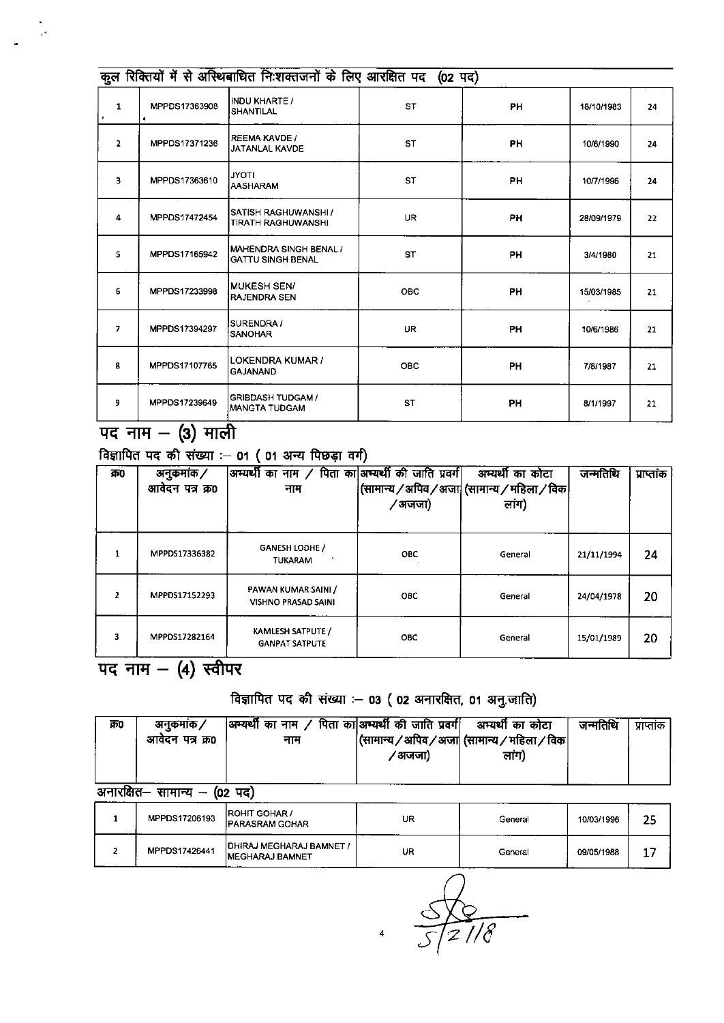|                | कुल रिक्तियों में से अस्थिबाधित निःशक्तजनों के लिए आरक्षित पद (02 पद) |                                                    |            |           |            |    |  |  |
|----------------|-----------------------------------------------------------------------|----------------------------------------------------|------------|-----------|------------|----|--|--|
| $\mathbf{1}$   | MPPDS17363908<br>٠                                                    | <b>INDU KHARTE /</b><br>ISHANTILAL                 | <b>ST</b>  | <b>PH</b> | 18/10/1983 | 24 |  |  |
| $\overline{2}$ | MPPDS17371236                                                         | <b>REEMA KAVDE /</b><br><b>JATANLAL KAVDE</b>      | <b>ST</b>  | <b>PH</b> | 10/6/1990  | 24 |  |  |
| 3              | MPPDS17363610                                                         | <b>JYOTI</b><br><b>AASHARAM</b>                    | <b>ST</b>  | <b>PH</b> | 10/7/1996  | 24 |  |  |
| 4              | MPPDS17472454                                                         | İSATISH RAGHUWANSHI /<br>TIRATH RAGHUWANSHI        | <b>UR</b>  | <b>PH</b> | 28/09/1979 | 22 |  |  |
| 5              | MPPDS17165942                                                         | MAHENDRA SINGH BENAL /<br><b>GATTU SINGH BENAL</b> | <b>ST</b>  | <b>PH</b> | 3/4/1980   | 21 |  |  |
| 6              | MPPDS17233998                                                         | MUKESH SEN/<br><b>RAJENDRA SEN</b>                 | OBC        | <b>PH</b> | 15/03/1985 | 21 |  |  |
| $\overline{ }$ | MPPDS17394297                                                         | <b>SURENDRA /</b><br>SANOHAR                       | <b>UR</b>  | <b>PH</b> | 10/6/1986  | 21 |  |  |
| 8              | MPPDS17107765                                                         | <b>LOKENDRA KUMAR /</b><br><b>GAJANAND</b>         | <b>OBC</b> | <b>PH</b> | 7/8/1987   | 21 |  |  |
| 9              | MPPDS17239649                                                         | <b>GRIBDASH TUDGAM /</b><br>IMANGTA TUDGAM         | <b>ST</b>  | <b>PH</b> | 8/1/1997   | 21 |  |  |

## पद नाम - (3) माली

विज्ञापित पद की संख्या :- 01 (01 अन्य पिछड़ा वर्ग)

| क0                       | अनकमांक ⁄<br>आवेदन पत्र क्र0 | अम्यर्थी का नाम / पिता का अम्यर्थी की जाति प्रवर्ग <br>नाम | ∕ अजजा)    | अम्यर्थी का कोटा<br>(सामान्य / अपिव / अजा  (सामान्य / महिला / विक<br>लांग) | जन्मतिथि   | प्राप्तांक |
|--------------------------|------------------------------|------------------------------------------------------------|------------|----------------------------------------------------------------------------|------------|------------|
| 1                        | MPPDS17336382                | GANESH LODHE /<br><b>TUKARAM</b>                           | OBC        | General                                                                    | 21/11/1994 | 24         |
| $\overline{\phantom{a}}$ | MPPDS17152293                | PAWAN KUMAR SAINI /<br><b>VISHNO PRASAD SAINI</b>          | ОВС        | General                                                                    | 24/04/1978 | 20         |
| 3                        | MPPDS17282164                | <b>KAMLESH SATPUTE /</b><br><b>GANPAT SATPUTE</b>          | <b>OBC</b> | General                                                                    | 15/01/1989 | 20         |

पद नाम  $-$  (4) स्वीपर

### विज्ञापित पद की संख्या :- 03 (02 अनारक्षित, 01 अनु.जाति)

| क्र0     | अनकमांक ⁄<br>आवेदन पत्र क्र0 | अभ्यर्थी का नाम / पिता का अभ्यर्थी की जाति प्रवर्ग  अभ्यर्थी का कोटा<br>नाम | ′अजजा) | (सामान्य / अपिव / अजा  (सामान्य / महिला / विक <br>लाग) | जन्मतिथि | प्राप्तांक |
|----------|------------------------------|-----------------------------------------------------------------------------|--------|--------------------------------------------------------|----------|------------|
| -------- | ------                       | $\sim$ $\sim$                                                               |        |                                                        |          |            |

अनारक्षित– सामान्य – (02 पद)

| MPPDS17206193 | <b>IROHIT GOHAR /</b><br><b>IPARASRAM GOHAR</b>             | UR | General | 10/03/1996 | つら |
|---------------|-------------------------------------------------------------|----|---------|------------|----|
| MPPDS17426441 | <b>IDHIRAJ MEGHARAJ BAMNET /</b><br><b>IMEGHARAJ BAMNET</b> | UR | General | 09/05/1988 |    |

 $\overline{\mathcal{E}}$